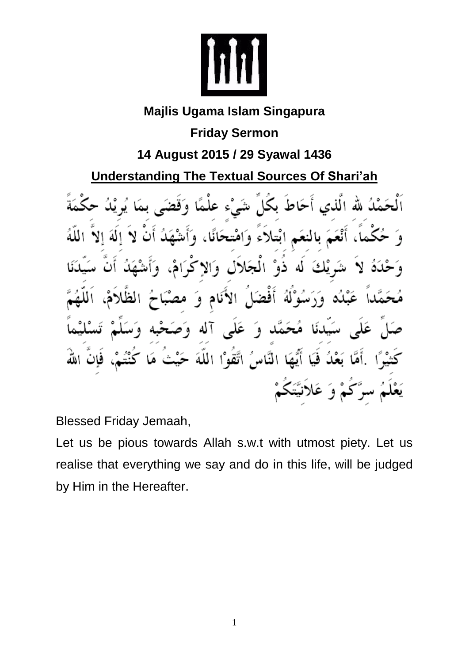

## **Majlis Ugama Islam Singapura**

**Friday Sermon**

**14 August 2015 / 29 Syawal 1436**

**Understanding The Textual Sources Of Shari'ah**

أَحَاطُ بكُلِّ شَيْء عَلْـ لُ لله اَلْذِي نَمَّ بِالْنَعَمِ ابْتِلَاءِ وَامْتِحَانًا، , يْكَ ذوْ المُجَلالِ وَالا لە عَبْلُه وَرَسُوْلَهُ أفضا نَام وَ الا آله عَلَى مُحَمَّد سَيدنَا ົձ  $\overline{9}$ أَيُّهَا النَّاسُ اتَّقَوْا اللَّهَ فيكا اللَّه رَّكُمْ وَ عَلاَنيَّتَكُمْ

Blessed Friday Jemaah,

Let us be pious towards Allah s.w.t with utmost piety. Let us realise that everything we say and do in this life, will be judged by Him in the Hereafter.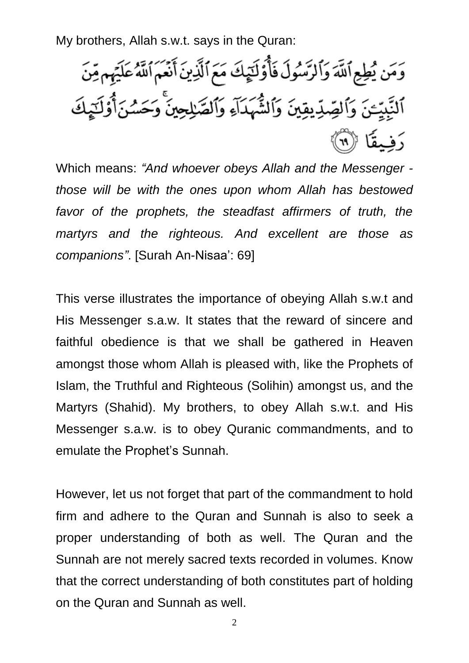My brothers, Allah s.w.t. says in the Quran:

وَمَن يُطِعِ ٱللَّهَ وَٱلرَّسُولَ فَأُوَّلَيۡهِكَ مَعَ ٱلَّذِينَ أَنۡعَمَ ٱللَّهُ عَلَيۡهِم مِّنَ ٱلنَّبِيِّـنَ وَٱلصِّدِّيقِينَ وَٱلشَّهَدَاءِ وَٱلصَّلِحِينَ وَحَسُّنَأُوْلَـٰٓدٍكَ رَفِيقًا ﴿ ٱ

Which means: *"And whoever obeys Allah and the Messenger those will be with the ones upon whom Allah has bestowed*  favor of the prophets, the steadfast affirmers of truth, the *martyrs and the righteous. And excellent are those as companions"*. [Surah An-Nisaa': 69]

This verse illustrates the importance of obeying Allah s.w.t and His Messenger s.a.w. It states that the reward of sincere and faithful obedience is that we shall be gathered in Heaven amongst those whom Allah is pleased with, like the Prophets of Islam, the Truthful and Righteous (Solihin) amongst us, and the Martyrs (Shahid). My brothers, to obey Allah s.w.t. and His Messenger s.a.w. is to obey Quranic commandments, and to emulate the Prophet's Sunnah.

However, let us not forget that part of the commandment to hold firm and adhere to the Quran and Sunnah is also to seek a proper understanding of both as well. The Quran and the Sunnah are not merely sacred texts recorded in volumes. Know that the correct understanding of both constitutes part of holding on the Quran and Sunnah as well.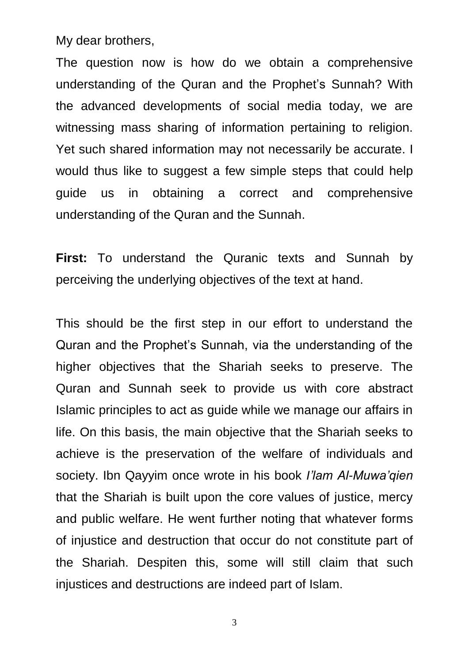My dear brothers,

The question now is how do we obtain a comprehensive understanding of the Quran and the Prophet's Sunnah? With the advanced developments of social media today, we are witnessing mass sharing of information pertaining to religion. Yet such shared information may not necessarily be accurate. I would thus like to suggest a few simple steps that could help guide us in obtaining a correct and comprehensive understanding of the Quran and the Sunnah.

**First:** To understand the Quranic texts and Sunnah by perceiving the underlying objectives of the text at hand.

This should be the first step in our effort to understand the Quran and the Prophet's Sunnah, via the understanding of the higher objectives that the Shariah seeks to preserve. The Quran and Sunnah seek to provide us with core abstract Islamic principles to act as guide while we manage our affairs in life. On this basis, the main objective that the Shariah seeks to achieve is the preservation of the welfare of individuals and society. Ibn Qayyim once wrote in his book *I'lam Al-Muwa'qien*  that the Shariah is built upon the core values of justice, mercy and public welfare. He went further noting that whatever forms of injustice and destruction that occur do not constitute part of the Shariah. Despiten this, some will still claim that such injustices and destructions are indeed part of Islam.

3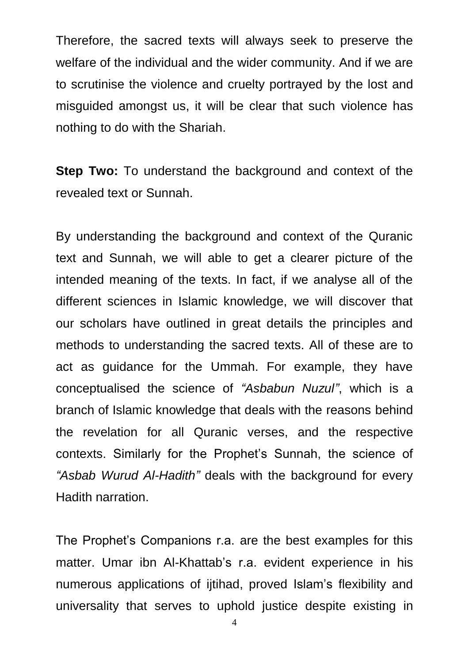Therefore, the sacred texts will always seek to preserve the welfare of the individual and the wider community. And if we are to scrutinise the violence and cruelty portrayed by the lost and misguided amongst us, it will be clear that such violence has nothing to do with the Shariah.

**Step Two:** To understand the background and context of the revealed text or Sunnah.

By understanding the background and context of the Quranic text and Sunnah, we will able to get a clearer picture of the intended meaning of the texts. In fact, if we analyse all of the different sciences in Islamic knowledge, we will discover that our scholars have outlined in great details the principles and methods to understanding the sacred texts. All of these are to act as guidance for the Ummah. For example, they have conceptualised the science of *"Asbabun Nuzul"*, which is a branch of Islamic knowledge that deals with the reasons behind the revelation for all Quranic verses, and the respective contexts. Similarly for the Prophet's Sunnah, the science of *"Asbab Wurud Al-Hadith"* deals with the background for every Hadith narration.

The Prophet's Companions r.a. are the best examples for this matter. Umar ibn Al-Khattab's r.a. evident experience in his numerous applications of ijtihad, proved Islam's flexibility and universality that serves to uphold justice despite existing in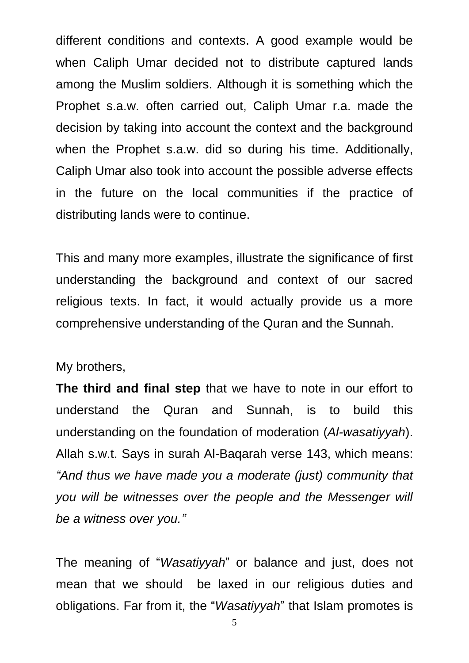different conditions and contexts. A good example would be when Caliph Umar decided not to distribute captured lands among the Muslim soldiers. Although it is something which the Prophet s.a.w. often carried out, Caliph Umar r.a. made the decision by taking into account the context and the background when the Prophet s.a.w. did so during his time. Additionally, Caliph Umar also took into account the possible adverse effects in the future on the local communities if the practice of distributing lands were to continue.

This and many more examples, illustrate the significance of first understanding the background and context of our sacred religious texts. In fact, it would actually provide us a more comprehensive understanding of the Quran and the Sunnah.

## My brothers,

**The third and final step** that we have to note in our effort to understand the Quran and Sunnah, is to build this understanding on the foundation of moderation (*Al-wasatiyyah*). Allah s.w.t. Says in surah Al-Baqarah verse 143, which means: *"And thus we have made you a moderate (just) community that you will be witnesses over the people and the Messenger will be a witness over you."*

The meaning of "*Wasatiyyah*" or balance and just, does not mean that we should be laxed in our religious duties and obligations. Far from it, the "*Wasatiyyah*" that Islam promotes is